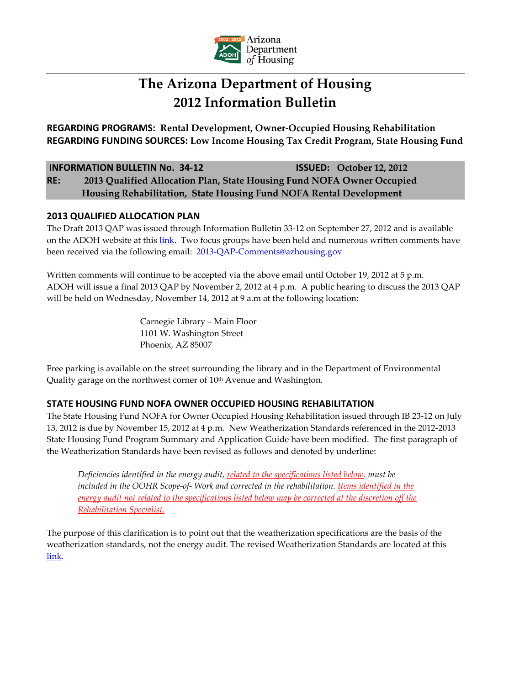

# **The Arizona Department of Housing 2012 Information Bulletin**

**REGARDING PROGRAMS: Rental Development, Owner-Occupied Housing Rehabilitation REGARDING FUNDING SOURCES: Low Income Housing Tax Credit Program, State Housing Fund**

### **INFORMATION BULLETIN No. 34-12 ISSUED: October 12, 2012**

**RE: 2013 Qualified Allocation Plan, State Housing Fund NOFA Owner Occupied Housing Rehabilitation, State Housing Fund NOFA Rental Development**

## **2013 QUALIFIED ALLOCATION PLAN**

The Draft 2013 QAP was issued through Information Bulletin 33-12 on September 27, 2012 and is available on the ADOH website at this [link.](http://www.azhousing.gov/ShowPage.aspx?ID=137&CID=15) Two focus groups have been held and numerous written comments have been received via the following email: [2013-QAP-Comments@azhousing.gov](mailto:2013-QAP-Comments@azhousing.gov)

Written comments will continue to be accepted via the above email until October 19, 2012 at 5 p.m. ADOH will issue a final 2013 QAP by November 2, 2012 at 4 p.m. A public hearing to discuss the 2013 QAP will be held on Wednesday, November 14, 2012 at 9 a.m at the following location:

> Carnegie Library – Main Floor 1101 W. Washington Street Phoenix, AZ 85007

Free parking is available on the street surrounding the library and in the Department of Environmental Quality garage on the northwest corner of 10<sup>th</sup> Avenue and Washington.

## **STATE HOUSING FUND NOFA OWNER OCCUPIED HOUSING REHABILITATION**

The State Housing Fund NOFA for Owner Occupied Housing Rehabilitation issued through IB 23-12 on July 13, 2012 is due by November 15, 2012 at 4 p.m. New Weatherization Standards referenced in the 2012-2013 State Housing Fund Program Summary and Application Guide have been modified. The first paragraph of the Weatherization Standards have been revised as follows and denoted by underline:

*Deficiencies identified in the energy audit, related to the specifications listed below. must be included in the OOHR Scope-of- Work and corrected in the rehabilitation. Items identified in the energy audit not related to the specifications listed below may be corrected at the discretion off the Rehabilitation Specialist.*

The purpose of this clarification is to point out that the weatherization specifications are the basis of the weatherization standards, not the energy audit. The revised Weatherization Standards are located at this [link.](http://www.azhousing.gov/ShowPage.aspx?ID=453&CID=16)